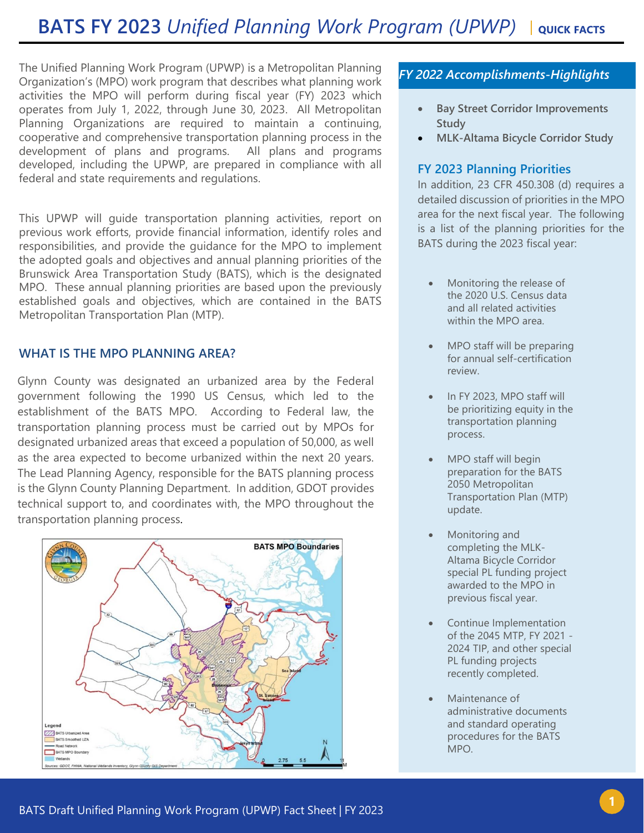The Unified Planning Work Program (UPWP) is a Metropolitan Planning Organization's (MPO) work program that describes what planning work activities the MPO will perform during fiscal year (FY) 2023 which operates from July 1, 2022, through June 30, 2023. All Metropolitan Planning Organizations are required to maintain a continuing, cooperative and comprehensive transportation planning process in the development of plans and programs. All plans and programs developed, including the UPWP, are prepared in compliance with all federal and state requirements and regulations.

This UPWP will guide transportation planning activities, report on previous work efforts, provide financial information, identify roles and responsibilities, and provide the guidance for the MPO to implement the adopted goals and objectives and annual planning priorities of the Brunswick Area Transportation Study (BATS), which is the designated MPO. These annual planning priorities are based upon the previously established goals and objectives, which are contained in the BATS Metropolitan Transportation Plan (MTP).

## **WHAT IS THE MPO PLANNING AREA?**

Glynn County was designated an urbanized area by the Federal government following the 1990 US Census, which led to the establishment of the BATS MPO. According to Federal law, the transportation planning process must be carried out by MPOs for designated urbanized areas that exceed a population of 50,000, as well as the area expected to become urbanized within the next 20 years. The Lead Planning Agency, responsible for the BATS planning process is the Glynn County Planning Department. In addition, GDOT provides technical support to, and coordinates with, the MPO throughout the transportation planning process.



# *FY 2022 Accomplishments-Highlights*

- **Bay Street Corridor Improvements Study**
- **MLK-Altama Bicycle Corridor Study**

### **FY 2023 Planning Priorities**

In addition, 23 CFR 450.308 (d) requires a detailed discussion of priorities in the MPO area for the next fiscal year. The following is a list of the planning priorities for the BATS during the 2023 fiscal year:

- Monitoring the release of the 2020 U.S. Census data and all related activities within the MPO area.
- MPO staff will be preparing for annual self-certification review.
- In FY 2023, MPO staff will be prioritizing equity in the transportation planning process.
- MPO staff will begin preparation for the BATS 2050 Metropolitan Transportation Plan (MTP) update.
- Monitoring and completing the MLK-Altama Bicycle Corridor special PL funding project awarded to the MPO in previous fiscal year.
- Continue Implementation of the 2045 MTP, FY 2021 - 2024 TIP, and other special PL funding projects recently completed.
- Maintenance of administrative documents and standard operating procedures for the BATS MPO.